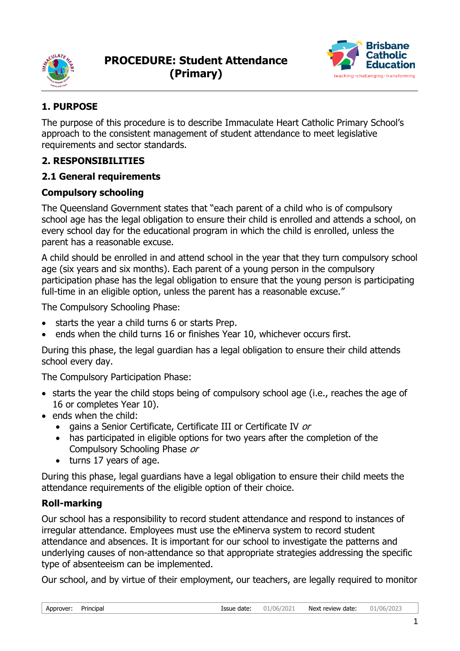



# **1. PURPOSE**

The purpose of this procedure is to describe Immaculate Heart Catholic Primary School's approach to the consistent management of student attendance to meet legislative requirements and sector standards.

## **2. RESPONSIBILITIES**

## **2.1 General requirements**

## **Compulsory schooling**

The Queensland Government states that "each parent of a child who is of compulsory school age has the legal obligation to ensure their child is enrolled and attends a school, on every school day for the educational program in which the child is enrolled, unless the parent has a reasonable excuse.

A child should be enrolled in and attend school in the year that they turn compulsory school age (six years and six months). Each parent of a young person in the compulsory participation phase has the legal obligation to ensure that the young person is participating full-time in an eligible option, unless the parent has a reasonable excuse."

The Compulsory Schooling Phase:

- starts the year a child turns 6 or starts Prep.
- ends when the child turns 16 or finishes Year 10, whichever occurs first.

During this phase, the legal guardian has a legal obligation to ensure their child attends school every day.

The Compulsory Participation Phase:

- starts the year the child stops being of compulsory school age (i.e., reaches the age of 16 or completes Year 10).
- ends when the child:
	- gains a Senior Certificate, Certificate III or Certificate IV or
	- has participated in eligible options for two years after the completion of the Compulsory Schooling Phase or
	- turns 17 years of age.

During this phase, legal guardians have a legal obligation to ensure their child meets the attendance requirements of the eligible option of their choice.

## **Roll-marking**

Our school has a responsibility to record student attendance and respond to instances of irregular attendance. Employees must use the eMinerva system to record student attendance and absences. It is important for our school to investigate the patterns and underlying causes of non-attendance so that appropriate strategies addressing the specific type of absenteeism can be implemented.

Our school, and by virtue of their employment, our teachers, are legally required to monitor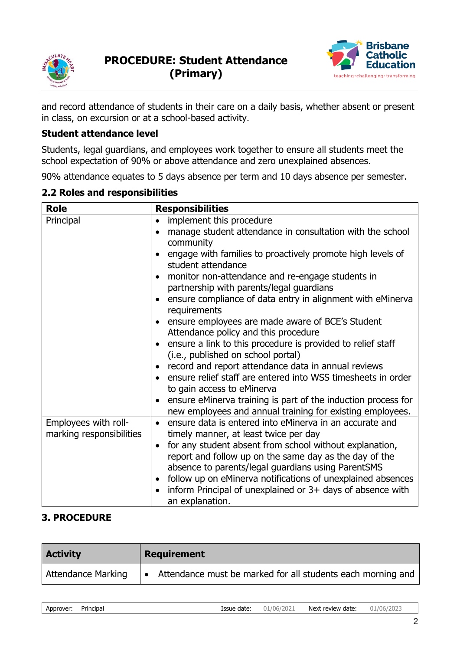



and record attendance of students in their care on a daily basis, whether absent or present in class, on excursion or at a school-based activity.

### **Student attendance level**

Students, legal guardians, and employees work together to ensure all students meet the school expectation of 90% or above attendance and zero unexplained absences.

90% attendance equates to 5 days absence per term and 10 days absence per semester.

#### **2.2 Roles and responsibilities**

| <b>Responsibilities</b>                                                                    |
|--------------------------------------------------------------------------------------------|
| implement this procedure<br>$\bullet$                                                      |
| manage student attendance in consultation with the school                                  |
| community                                                                                  |
| engage with families to proactively promote high levels of<br>student attendance           |
| monitor non-attendance and re-engage students in                                           |
| partnership with parents/legal guardians                                                   |
| ensure compliance of data entry in alignment with eMinerva<br>requirements                 |
| ensure employees are made aware of BCE's Student                                           |
| Attendance policy and this procedure                                                       |
| ensure a link to this procedure is provided to relief staff                                |
| (i.e., published on school portal)                                                         |
| record and report attendance data in annual reviews                                        |
| ensure relief staff are entered into WSS timesheets in order<br>to gain access to eMinerva |
| ensure eMinerva training is part of the induction process for                              |
| new employees and annual training for existing employees.                                  |
| ensure data is entered into eMinerva in an accurate and<br>$\bullet$                       |
| timely manner, at least twice per day                                                      |
| for any student absent from school without explanation,<br>$\bullet$                       |
| report and follow up on the same day as the day of the                                     |
| absence to parents/legal guardians using ParentSMS                                         |
| follow up on eMinerva notifications of unexplained absences                                |
| inform Principal of unexplained or 3+ days of absence with<br>an explanation.              |
|                                                                                            |

### **3. PROCEDURE**

| <b>Activity</b>    | Requirement                                                                   |
|--------------------|-------------------------------------------------------------------------------|
| Attendance Marking | Attendance must be marked for all students each morning and<br>$\blacksquare$ |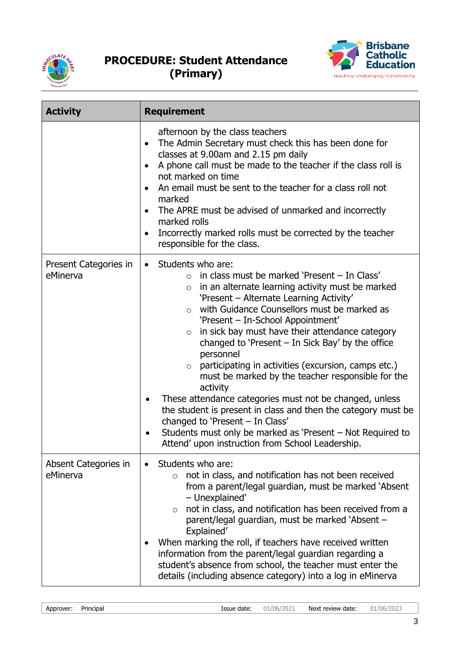



| <b>Activity</b>                   | <b>Requirement</b>                                                                                                                                                                                                                                                                                                                                                                                                                                                                                                                                                                                                                                                                                                                                                                                                                                        |
|-----------------------------------|-----------------------------------------------------------------------------------------------------------------------------------------------------------------------------------------------------------------------------------------------------------------------------------------------------------------------------------------------------------------------------------------------------------------------------------------------------------------------------------------------------------------------------------------------------------------------------------------------------------------------------------------------------------------------------------------------------------------------------------------------------------------------------------------------------------------------------------------------------------|
|                                   | afternoon by the class teachers<br>The Admin Secretary must check this has been done for<br>$\bullet$<br>classes at 9.00am and 2.15 pm daily<br>A phone call must be made to the teacher if the class roll is<br>$\bullet$<br>not marked on time<br>An email must be sent to the teacher for a class roll not<br>marked<br>The APRE must be advised of unmarked and incorrectly<br>marked rolls<br>Incorrectly marked rolls must be corrected by the teacher<br>responsible for the class.                                                                                                                                                                                                                                                                                                                                                                |
| Present Categories in<br>eMinerva | • Students who are:<br>in class must be marked 'Present - In Class'<br>$\circ$<br>in an alternate learning activity must be marked<br>$\circ$<br>'Present - Alternate Learning Activity'<br>with Guidance Counsellors must be marked as<br>$\circ$<br>'Present - In-School Appointment'<br>in sick bay must have their attendance category<br>$\circ$<br>changed to 'Present $-$ In Sick Bay' by the office<br>personnel<br>participating in activities (excursion, camps etc.)<br>$\circ$<br>must be marked by the teacher responsible for the<br>activity<br>These attendance categories must not be changed, unless<br>$\bullet$<br>the student is present in class and then the category must be<br>changed to 'Present - In Class'<br>Students must only be marked as 'Present – Not Required to<br>Attend' upon instruction from School Leadership. |
| Absent Categories in<br>eMinerva  | Students who are:<br>not in class, and notification has not been received<br>$\circ$<br>from a parent/legal guardian, must be marked 'Absent<br>- Unexplained'<br>not in class, and notification has been received from a<br>$\circ$<br>parent/legal guardian, must be marked 'Absent -<br>Explained'<br>When marking the roll, if teachers have received written<br>information from the parent/legal guardian regarding a<br>student's absence from school, the teacher must enter the<br>details (including absence category) into a log in eMinerva                                                                                                                                                                                                                                                                                                   |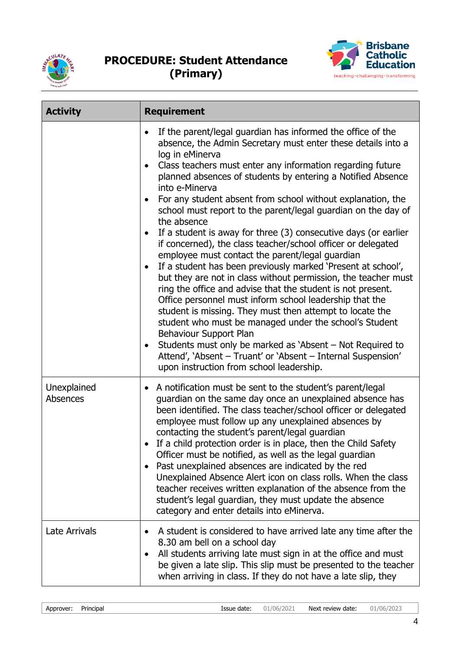



| <b>Activity</b>         | <b>Requirement</b>                                                                                                                                                                                                                                                                                                                                                                                                                                                                                                                                                                                                                                                                                                                                                                                                                                                                                                                                                                                                                                                                                                                                                                                                           |
|-------------------------|------------------------------------------------------------------------------------------------------------------------------------------------------------------------------------------------------------------------------------------------------------------------------------------------------------------------------------------------------------------------------------------------------------------------------------------------------------------------------------------------------------------------------------------------------------------------------------------------------------------------------------------------------------------------------------------------------------------------------------------------------------------------------------------------------------------------------------------------------------------------------------------------------------------------------------------------------------------------------------------------------------------------------------------------------------------------------------------------------------------------------------------------------------------------------------------------------------------------------|
|                         | If the parent/legal guardian has informed the office of the<br>absence, the Admin Secretary must enter these details into a<br>log in eMinerva<br>Class teachers must enter any information regarding future<br>planned absences of students by entering a Notified Absence<br>into e-Minerva<br>For any student absent from school without explanation, the<br>school must report to the parent/legal guardian on the day of<br>the absence<br>If a student is away for three (3) consecutive days (or earlier<br>if concerned), the class teacher/school officer or delegated<br>employee must contact the parent/legal guardian<br>If a student has been previously marked 'Present at school',<br>but they are not in class without permission, the teacher must<br>ring the office and advise that the student is not present.<br>Office personnel must inform school leadership that the<br>student is missing. They must then attempt to locate the<br>student who must be managed under the school's Student<br>Behaviour Support Plan<br>Students must only be marked as 'Absent – Not Required to<br>٠<br>Attend', 'Absent - Truant' or 'Absent - Internal Suspension'<br>upon instruction from school leadership. |
| Unexplained<br>Absences | A notification must be sent to the student's parent/legal<br>$\bullet$<br>guardian on the same day once an unexplained absence has<br>been identified. The class teacher/school officer or delegated<br>employee must follow up any unexplained absences by<br>contacting the student's parent/legal guardian<br>If a child protection order is in place, then the Child Safety<br>Officer must be notified, as well as the legal guardian<br>Past unexplained absences are indicated by the red<br>Unexplained Absence Alert icon on class rolls. When the class<br>teacher receives written explanation of the absence from the<br>student's legal guardian, they must update the absence<br>category and enter details into eMinerva.                                                                                                                                                                                                                                                                                                                                                                                                                                                                                     |
| Late Arrivals           | A student is considered to have arrived late any time after the<br>8.30 am bell on a school day<br>All students arriving late must sign in at the office and must<br>be given a late slip. This slip must be presented to the teacher<br>when arriving in class. If they do not have a late slip, they                                                                                                                                                                                                                                                                                                                                                                                                                                                                                                                                                                                                                                                                                                                                                                                                                                                                                                                       |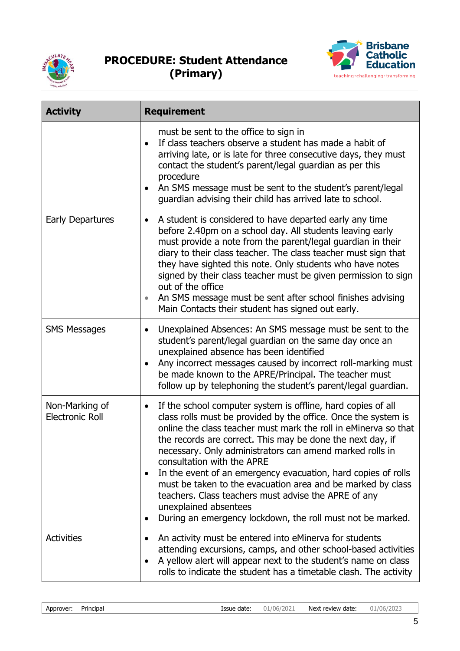



| <b>Activity</b>                          | <b>Requirement</b>                                                                                                                                                                                                                                                                                                                                                                                                                                                                                                                                                                                                                                    |
|------------------------------------------|-------------------------------------------------------------------------------------------------------------------------------------------------------------------------------------------------------------------------------------------------------------------------------------------------------------------------------------------------------------------------------------------------------------------------------------------------------------------------------------------------------------------------------------------------------------------------------------------------------------------------------------------------------|
|                                          | must be sent to the office to sign in<br>If class teachers observe a student has made a habit of<br>arriving late, or is late for three consecutive days, they must<br>contact the student's parent/legal guardian as per this<br>procedure<br>An SMS message must be sent to the student's parent/legal<br>guardian advising their child has arrived late to school.                                                                                                                                                                                                                                                                                 |
| <b>Early Departures</b>                  | A student is considered to have departed early any time<br>before 2.40pm on a school day. All students leaving early<br>must provide a note from the parent/legal guardian in their<br>diary to their class teacher. The class teacher must sign that<br>they have sighted this note. Only students who have notes<br>signed by their class teacher must be given permission to sign<br>out of the office<br>An SMS message must be sent after school finishes advising<br>Main Contacts their student has signed out early.                                                                                                                          |
| <b>SMS Messages</b>                      | Unexplained Absences: An SMS message must be sent to the<br>$\bullet$<br>student's parent/legal guardian on the same day once an<br>unexplained absence has been identified<br>Any incorrect messages caused by incorrect roll-marking must<br>be made known to the APRE/Principal. The teacher must<br>follow up by telephoning the student's parent/legal guardian.                                                                                                                                                                                                                                                                                 |
| Non-Marking of<br><b>Electronic Roll</b> | If the school computer system is offline, hard copies of all<br>$\bullet$<br>class rolls must be provided by the office. Once the system is<br>online the class teacher must mark the roll in eMinerva so that<br>the records are correct. This may be done the next day, if<br>necessary. Only administrators can amend marked rolls in<br>consultation with the APRE<br>In the event of an emergency evacuation, hard copies of rolls<br>must be taken to the evacuation area and be marked by class<br>teachers. Class teachers must advise the APRE of any<br>unexplained absentees<br>During an emergency lockdown, the roll must not be marked. |
| <b>Activities</b>                        | An activity must be entered into eMinerva for students<br>attending excursions, camps, and other school-based activities<br>A yellow alert will appear next to the student's name on class<br>$\bullet$<br>rolls to indicate the student has a timetable clash. The activity                                                                                                                                                                                                                                                                                                                                                                          |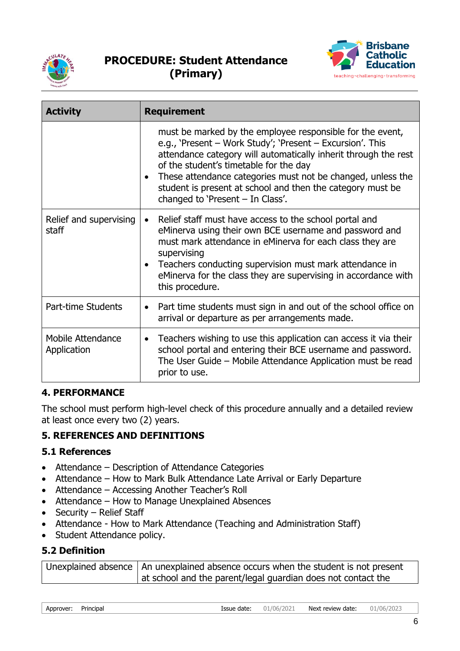



| <b>Activity</b>                  | <b>Requirement</b>                                                                                                                                                                                                                                                                                                                                                                                   |
|----------------------------------|------------------------------------------------------------------------------------------------------------------------------------------------------------------------------------------------------------------------------------------------------------------------------------------------------------------------------------------------------------------------------------------------------|
|                                  | must be marked by the employee responsible for the event,<br>e.g., 'Present – Work Study'; 'Present – Excursion'. This<br>attendance category will automatically inherit through the rest<br>of the student's timetable for the day<br>These attendance categories must not be changed, unless the<br>student is present at school and then the category must be<br>changed to 'Present - In Class'. |
| Relief and supervising<br>staff  | Relief staff must have access to the school portal and<br>eMinerva using their own BCE username and password and<br>must mark attendance in eMinerva for each class they are<br>supervising<br>Teachers conducting supervision must mark attendance in<br>eMinerva for the class they are supervising in accordance with<br>this procedure.                                                          |
| Part-time Students               | Part time students must sign in and out of the school office on<br>$\bullet$<br>arrival or departure as per arrangements made.                                                                                                                                                                                                                                                                       |
| Mobile Attendance<br>Application | Teachers wishing to use this application can access it via their<br>$\bullet$<br>school portal and entering their BCE username and password.<br>The User Guide – Mobile Attendance Application must be read<br>prior to use.                                                                                                                                                                         |

### **4. PERFORMANCE**

The school must perform high-level check of this procedure annually and a detailed review at least once every two (2) years.

## **5. REFERENCES AND DEFINITIONS**

### **5.1 References**

- Attendance Description of Attendance Categories
- Attendance How to Mark Bulk Attendance Late Arrival or Early Departure
- Attendance Accessing Another Teacher's Roll
- Attendance How to Manage Unexplained Absences
- Security Relief Staff
- Attendance How to Mark Attendance (Teaching and Administration Staff)
- Student Attendance policy.

### **5.2 Definition**

| Unexplained absence   An unexplained absence occurs when the student is not present |
|-------------------------------------------------------------------------------------|
| at school and the parent/legal guardian does not contact the                        |